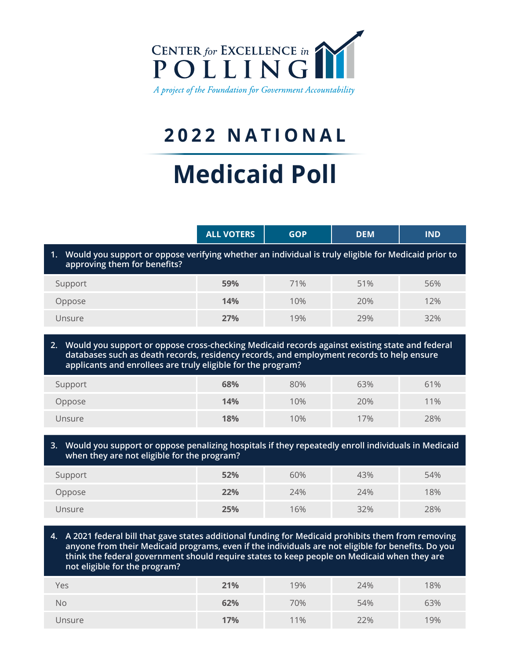

## **2022 NATIONAL**

## **Medicaid Poll**

|                                                                                                                                           | <b>ALL VOTERS</b> | <b>GOP</b> |     | <b>IND</b> |  |  |  |
|-------------------------------------------------------------------------------------------------------------------------------------------|-------------------|------------|-----|------------|--|--|--|
| Would you support or oppose verifying whether an individual is truly eligible for Medicaid prior to<br>1.<br>approving them for benefits? |                   |            |     |            |  |  |  |
| Support                                                                                                                                   | 59%               | 71%        | 51% | 56%        |  |  |  |
| Oppose                                                                                                                                    | 14%               | 10%        | 20% | 12%        |  |  |  |
| Unsure                                                                                                                                    | <b>27%</b>        | 19%        | 29% | 32%        |  |  |  |

**2. Would you support or oppose cross-checking Medicaid records against existing state and federal databases such as death records, residency records, and employment records to help ensure applicants and enrollees are truly eligible for the program?** 

| Support | 68% | 80% | 63% | 61% |
|---------|-----|-----|-----|-----|
| Oppose  | 14% | 10% | 20% | 11% |
| Unsure  | 18% | 10% | 17% | 28% |

## **3. Would you support or oppose penalizing hospitals if they repeatedly enroll individuals in Medicaid when they are not eligible for the program?**

| Support | 52% | 60% | 43% | 54% |
|---------|-----|-----|-----|-----|
| Oppose  | 22% | 24% | 24% | 18% |
| Unsure  | 25% | 16% | 32% | 28% |

**4. A 2021 federal bill that gave states additional funding for Medicaid prohibits them from removing anyone from their Medicaid programs, even if the individuals are not eligible for benefits. Do you think the federal government should require states to keep people on Medicaid when they are not eligible for the program?** 

| Yes    | 21% | 19% | 24% | 18% |
|--------|-----|-----|-----|-----|
| No     | 62% | 70% | 54% | 63% |
| Unsure | 17% | 11% | 22% | 19% |